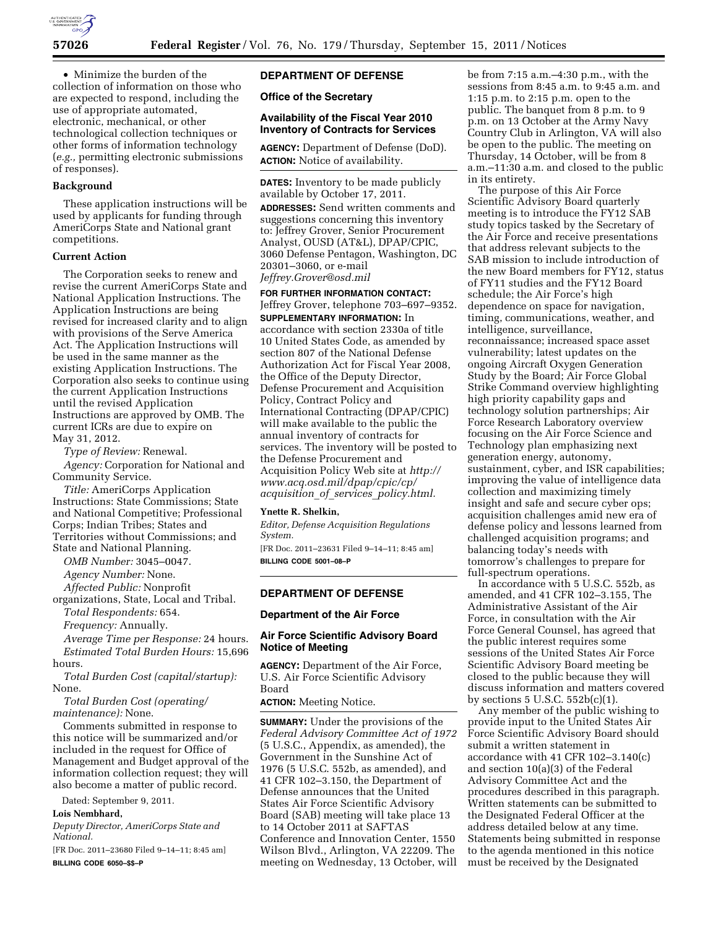

• Minimize the burden of the collection of information on those who are expected to respond, including the use of appropriate automated, electronic, mechanical, or other technological collection techniques or other forms of information technology (*e.g.,* permitting electronic submissions of responses).

# **Background**

These application instructions will be used by applicants for funding through AmeriCorps State and National grant competitions.

# **Current Action**

The Corporation seeks to renew and revise the current AmeriCorps State and National Application Instructions. The Application Instructions are being revised for increased clarity and to align with provisions of the Serve America Act. The Application Instructions will be used in the same manner as the existing Application Instructions. The Corporation also seeks to continue using the current Application Instructions until the revised Application Instructions are approved by OMB. The current ICRs are due to expire on May 31, 2012.

*Type of Review:* Renewal.

*Agency:* Corporation for National and Community Service.

*Title:* AmeriCorps Application Instructions: State Commissions; State and National Competitive; Professional Corps; Indian Tribes; States and Territories without Commissions; and State and National Planning.

*OMB Number:* 3045–0047.

*Agency Number:* None.

*Affected Public:* Nonprofit organizations, State, Local and Tribal. *Total Respondents:* 654.

*Frequency:* Annually.

*Average Time per Response:* 24 hours. *Estimated Total Burden Hours:* 15,696 hours.

*Total Burden Cost (capital/startup):*  None.

*Total Burden Cost (operating/ maintenance):* None.

Comments submitted in response to this notice will be summarized and/or included in the request for Office of Management and Budget approval of the information collection request; they will also become a matter of public record.

Dated: September 9, 2011.

**Lois Nembhard,** 

*Deputy Director, AmeriCorps State and National.* 

[FR Doc. 2011–23680 Filed 9–14–11; 8:45 am] **BILLING CODE 6050–\$\$–P** 

# **DEPARTMENT OF DEFENSE**

## **Office of the Secretary**

#### **Availability of the Fiscal Year 2010 Inventory of Contracts for Services**

**AGENCY:** Department of Defense (DoD). **ACTION:** Notice of availability.

**DATES:** Inventory to be made publicly available by October 17, 2011. **ADDRESSES:** Send written comments and suggestions concerning this inventory to: Jeffrey Grover, Senior Procurement Analyst, OUSD (AT&L), DPAP/CPIC, 3060 Defense Pentagon, Washington, DC 20301–3060, or e-mail *[Jeffrey.Grover@osd.mil](mailto:Jeffrey.Grover@osd.mil)* 

**FOR FURTHER INFORMATION CONTACT:**  Jeffrey Grover, telephone 703–697–9352. **SUPPLEMENTARY INFORMATION:** In accordance with section 2330a of title 10 United States Code, as amended by section 807 of the National Defense Authorization Act for Fiscal Year 2008, the Office of the Deputy Director, Defense Procurement and Acquisition Policy, Contract Policy and International Contracting (DPAP/CPIC) will make available to the public the annual inventory of contracts for services. The inventory will be posted to the Defense Procurement and Acquisition Policy Web site at *[http://](http://www.acq.osd.mil/dpap/cpic/cp/acquisition_of_services_policy.html)  [www.acq.osd.mil/dpap/cpic/cp/](http://www.acq.osd.mil/dpap/cpic/cp/acquisition_of_services_policy.html)  acquisition*\_*of*\_*services*\_*[policy.html.](http://www.acq.osd.mil/dpap/cpic/cp/acquisition_of_services_policy.html)* 

#### **Ynette R. Shelkin,**

*Editor, Defense Acquisition Regulations System.* 

[FR Doc. 2011–23631 Filed 9–14–11; 8:45 am] **BILLING CODE 5001–08–P** 

## **DEPARTMENT OF DEFENSE**

#### **Department of the Air Force**

## **Air Force Scientific Advisory Board Notice of Meeting**

**AGENCY:** Department of the Air Force, U.S. Air Force Scientific Advisory Board

# **ACTION:** Meeting Notice.

**SUMMARY:** Under the provisions of the *Federal Advisory Committee Act of 1972*  (5 U.S.C., Appendix, as amended), the Government in the Sunshine Act of 1976 (5 U.S.C. 552b, as amended), and 41 CFR 102–3.150, the Department of Defense announces that the United States Air Force Scientific Advisory Board (SAB) meeting will take place 13 to 14 October 2011 at SAFTAS Conference and Innovation Center, 1550 Wilson Blvd., Arlington, VA 22209. The meeting on Wednesday, 13 October, will

be from 7:15 a.m.–4:30 p.m., with the sessions from 8:45 a.m. to 9:45 a.m. and 1:15 p.m. to 2:15 p.m. open to the public. The banquet from 8 p.m. to 9 p.m. on 13 October at the Army Navy Country Club in Arlington, VA will also be open to the public. The meeting on Thursday, 14 October, will be from 8 a.m.–11:30 a.m. and closed to the public in its entirety.

The purpose of this Air Force Scientific Advisory Board quarterly meeting is to introduce the FY12 SAB study topics tasked by the Secretary of the Air Force and receive presentations that address relevant subjects to the SAB mission to include introduction of the new Board members for FY12, status of FY11 studies and the FY12 Board schedule; the Air Force's high dependence on space for navigation, timing, communications, weather, and intelligence, surveillance, reconnaissance; increased space asset vulnerability; latest updates on the ongoing Aircraft Oxygen Generation Study by the Board; Air Force Global Strike Command overview highlighting high priority capability gaps and technology solution partnerships; Air Force Research Laboratory overview focusing on the Air Force Science and Technology plan emphasizing next generation energy, autonomy, sustainment, cyber, and ISR capabilities; improving the value of intelligence data collection and maximizing timely insight and safe and secure cyber ops; acquisition challenges amid new era of defense policy and lessons learned from challenged acquisition programs; and balancing today's needs with tomorrow's challenges to prepare for full-spectrum operations.

In accordance with 5 U.S.C. 552b, as amended, and 41 CFR 102–3.155, The Administrative Assistant of the Air Force, in consultation with the Air Force General Counsel, has agreed that the public interest requires some sessions of the United States Air Force Scientific Advisory Board meeting be closed to the public because they will discuss information and matters covered by sections 5 U.S.C. 552b(c)(1).

Any member of the public wishing to provide input to the United States Air Force Scientific Advisory Board should submit a written statement in accordance with 41 CFR 102–3.140(c) and section 10(a)(3) of the Federal Advisory Committee Act and the procedures described in this paragraph. Written statements can be submitted to the Designated Federal Officer at the address detailed below at any time. Statements being submitted in response to the agenda mentioned in this notice must be received by the Designated